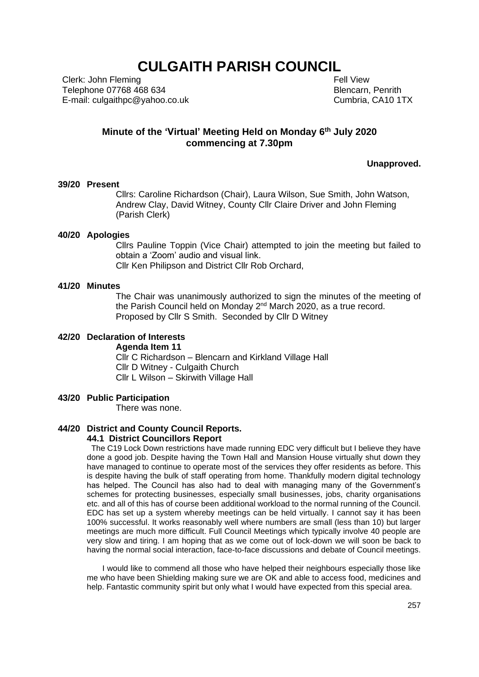## **CULGAITH PARISH COUNCIL**

Clerk: John Fleming Telephone 07768 468 634 E-mail: culgaithpc@yahoo.co.uk  Fell View Blencarn, Penrith Cumbria, CA10 1TX

## **Minute of the 'Virtual' Meeting Held on Monday 6 th July 2020 commencing at 7.30pm**

**Unapproved.**

## **39/20 Present**

Cllrs: Caroline Richardson (Chair), Laura Wilson, Sue Smith, John Watson, Andrew Clay, David Witney, County Cllr Claire Driver and John Fleming (Parish Clerk)

#### **40/20 Apologies**

Cllrs Pauline Toppin (Vice Chair) attempted to join the meeting but failed to obtain a 'Zoom' audio and visual link.

Cllr Ken Philipson and District Cllr Rob Orchard,

## **41/20 Minutes**

The Chair was unanimously authorized to sign the minutes of the meeting of the Parish Council held on Monday 2<sup>nd</sup> March 2020, as a true record. Proposed by Cllr S Smith. Seconded by Cllr D Witney

#### **42/20 Declaration of Interests**

**Agenda Item 11** Cllr C Richardson – Blencarn and Kirkland Village Hall Cllr D Witney - Culgaith Church Cllr L Wilson – Skirwith Village Hall

#### **43/20 Public Participation**

There was none.

## **44/20 District and County Council Reports.**

# **44.1 District Councillors Report**

 The C19 Lock Down restrictions have made running EDC very difficult but I believe they have done a good job. Despite having the Town Hall and Mansion House virtually shut down they have managed to continue to operate most of the services they offer residents as before. This is despite having the bulk of staff operating from home. Thankfully modern digital technology has helped. The Council has also had to deal with managing many of the Government's schemes for protecting businesses, especially small businesses, jobs, charity organisations etc. and all of this has of course been additional workload to the normal running of the Council. EDC has set up a system whereby meetings can be held virtually. I cannot say it has been 100% successful. It works reasonably well where numbers are small (less than 10) but larger meetings are much more difficult. Full Council Meetings which typically involve 40 people are very slow and tiring. I am hoping that as we come out of lock-down we will soon be back to having the normal social interaction, face-to-face discussions and debate of Council meetings.

 I would like to commend all those who have helped their neighbours especially those like me who have been Shielding making sure we are OK and able to access food, medicines and help. Fantastic community spirit but only what I would have expected from this special area.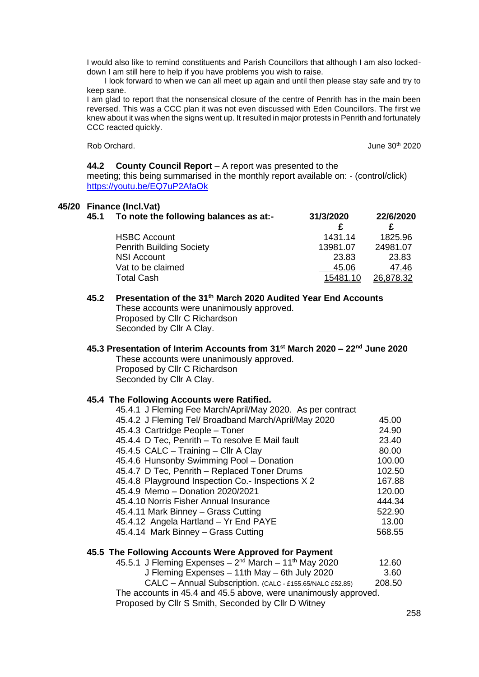I would also like to remind constituents and Parish Councillors that although I am also lockeddown I am still here to help if you have problems you wish to raise.

 I look forward to when we can all meet up again and until then please stay safe and try to keep sane.

I am glad to report that the nonsensical closure of the centre of Penrith has in the main been reversed. This was a CCC plan it was not even discussed with Eden Councillors. The first we knew about it was when the signs went up. It resulted in major protests in Penrith and fortunately CCC reacted quickly.

Rob Orchard. **June 30th 2020** 

#### **44.2 County Council Report** – A report was presented to the

meeting; this being summarised in the monthly report available on: - (control/click) <https://youtu.be/EQ7uP2AfaOk>

## **45/20 Finance (Incl.Vat)**

| 45.1 | To note the following balances as at:- | 31/3/2020 | 22/6/2020 |
|------|----------------------------------------|-----------|-----------|
|      | <b>HSBC Account</b>                    | 1431.14   | 1825.96   |
|      | <b>Penrith Building Society</b>        | 13981.07  | 24981.07  |
|      | <b>NSI Account</b>                     | 23.83     | 23.83     |
|      | Vat to be claimed                      | 45.06     | 47.46     |
|      | <b>Total Cash</b>                      | 15481.10  | 26,878.32 |

**45.2 Presentation of the 31th March 2020 Audited Year End Accounts**  These accounts were unanimously approved. Proposed by Cllr C Richardson Seconded by Cllr A Clay.

### **45.3 Presentation of Interim Accounts from 31st March 2020 – 22nd June 2020** These accounts were unanimously approved. Proposed by Cllr C Richardson Seconded by Cllr A Clay.

#### **45.4 The Following Accounts were Ratified.**

| 45.4.1 J Fleming Fee March/April/May 2020. As per contract |        |
|------------------------------------------------------------|--------|
| 45.4.2 J Fleming Tel/ Broadband March/April/May 2020       | 45.00  |
| 45.4.3 Cartridge People - Toner                            | 24.90  |
| 45.4.4 D Tec, Penrith - To resolve E Mail fault            | 23.40  |
| 45.4.5 CALC - Training - Cllr A Clay                       | 80.00  |
| 45.4.6 Hunsonby Swimming Pool - Donation                   | 100.00 |
| 45.4.7 D Tec, Penrith - Replaced Toner Drums               | 102.50 |
| 45.4.8 Playground Inspection Co.- Inspections X 2          | 167.88 |
| 45.4.9 Memo - Donation 2020/2021                           | 120.00 |
| 45.4.10 Norris Fisher Annual Insurance                     | 444.34 |
| 45.4.11 Mark Binney - Grass Cutting                        | 522.90 |
| 45.4.12 Angela Hartland - Yr End PAYE                      | 13.00  |
| 45.4.14 Mark Binney - Grass Cutting                        | 568.55 |
|                                                            |        |

## **45.5 The Following Accounts Were Approved for Payment**

| 45.5.1 J Fleming Expenses – $2^{nd}$ March – 11 <sup>th</sup> May 2020 | 12.60  |  |
|------------------------------------------------------------------------|--------|--|
| J Fleming Expenses - 11th May - 6th July 2020                          | 3.60   |  |
| CALC - Annual Subscription. (CALC - £155.65/NALC £52.85)               | 208.50 |  |
| The accounts in 45.4 and 45.5 above, were unanimously approved.        |        |  |
| Proposed by Cllr S Smith, Seconded by Cllr D Witney                    |        |  |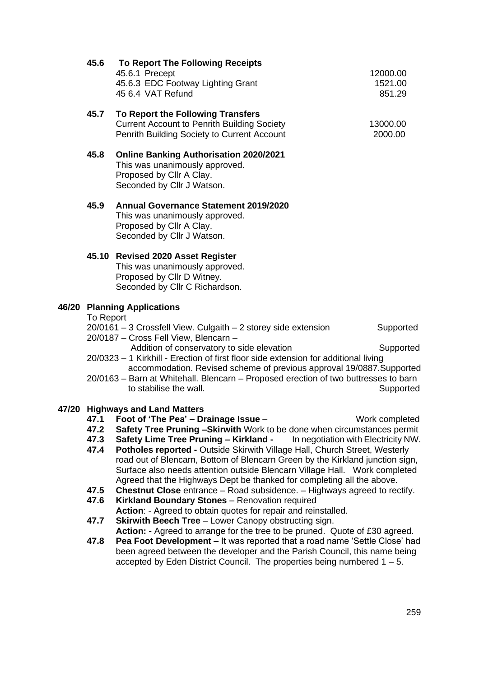|                                    | 45.6                                                                                                                              | <b>To Report The Following Receipts</b><br>45.6.1 Precept<br>45.6.3 EDC Footway Lighting Grant<br>45 6.4 VAT Refund                                                                    | 12000.00<br>1521.00<br>851.29 |
|------------------------------------|-----------------------------------------------------------------------------------------------------------------------------------|----------------------------------------------------------------------------------------------------------------------------------------------------------------------------------------|-------------------------------|
|                                    | 45.7                                                                                                                              | To Report the Following Transfers<br><b>Current Account to Penrith Building Society</b><br>Penrith Building Society to Current Account                                                 | 13000.00<br>2000.00           |
|                                    | 45.8                                                                                                                              | <b>Online Banking Authorisation 2020/2021</b><br>This was unanimously approved.<br>Proposed by Cllr A Clay.<br>Seconded by Cllr J Watson.                                              |                               |
|                                    | 45.9                                                                                                                              | <b>Annual Governance Statement 2019/2020</b><br>This was unanimously approved.<br>Proposed by Cllr A Clay.<br>Seconded by Cllr J Watson.                                               |                               |
|                                    |                                                                                                                                   | 45.10 Revised 2020 Asset Register<br>This was unanimously approved.<br>Proposed by Cllr D Witney.<br>Seconded by Cllr C Richardson.                                                    |                               |
| <b>46/20 Planning Applications</b> |                                                                                                                                   |                                                                                                                                                                                        |                               |
|                                    | To Report<br>20/0161 - 3 Crossfell View. Culgaith - 2 storey side extension<br>Supported<br>20/0187 - Cross Fell View, Blencarn - |                                                                                                                                                                                        |                               |
|                                    |                                                                                                                                   | Addition of conservatory to side elevation<br>Supported<br>20/0323 - 1 Kirkhill - Erection of first floor side extension for additional living                                         |                               |
|                                    |                                                                                                                                   | accommodation. Revised scheme of previous approval 19/0887. Supported<br>20/0163 - Barn at Whitehall. Blencarn - Proposed erection of two buttresses to barn<br>to stabilise the wall. | Supported                     |
|                                    |                                                                                                                                   | 47/20 Highways and Land Matters                                                                                                                                                        |                               |
|                                    | 47.1                                                                                                                              | Foot of 'The Pea' $-$ Drainage Issue $-$                                                                                                                                               | Work completed                |
|                                    | 47.2<br>47.3                                                                                                                      | Safety Tree Pruning -Skirwith Work to be done when circumstances permit<br>Safety Lime Tree Pruning - Kirkland -<br>In negotiation with Electricity NW.                                |                               |
|                                    | 47.4                                                                                                                              | <b>Potholes reported - Outside Skirwith Village Hall, Church Street, Westerly</b>                                                                                                      |                               |
|                                    |                                                                                                                                   | road out of Blencarn, Bottom of Blencarn Green by the Kirkland junction sign,                                                                                                          |                               |
|                                    |                                                                                                                                   | Surface also needs attention outside Blencarn Village Hall.  Work completed                                                                                                            |                               |
|                                    | 47.5                                                                                                                              | Agreed that the Highways Dept be thanked for completing all the above.<br><b>Chestnut Close</b> entrance – Road subsidence. – Highways agreed to rectify.                              |                               |
|                                    | 47.6                                                                                                                              | Kirkland Boundary Stones - Renovation required                                                                                                                                         |                               |
|                                    |                                                                                                                                   | Action: - Agreed to obtain quotes for repair and reinstalled.                                                                                                                          |                               |
|                                    | 47.7                                                                                                                              | <b>Skirwith Beech Tree</b> - Lower Canopy obstructing sign.                                                                                                                            |                               |
|                                    |                                                                                                                                   | Action: - Agreed to arrange for the tree to be pruned. Quote of £30 agreed.                                                                                                            |                               |
|                                    | 47.8                                                                                                                              | Pea Foot Development - It was reported that a road name 'Settle Close' had<br>been agreed between the developer and the Parish Council, this name being                                |                               |
|                                    |                                                                                                                                   |                                                                                                                                                                                        |                               |

accepted by Eden District Council. The properties being numbered 1 – 5.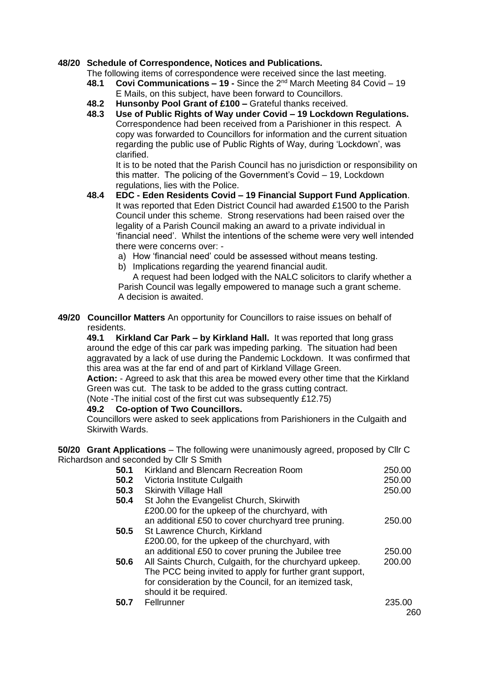## **48/20 Schedule of Correspondence, Notices and Publications.**

The following items of correspondence were received since the last meeting.

- **48.1 Covi Communications – 19 -** Since the 2nd March Meeting 84 Covid 19 E Mails, on this subject, have been forward to Councillors.
- **48.2 Hunsonby Pool Grant of £100 –** Grateful thanks received.
- **48.3 Use of Public Rights of Way under Covid – 19 Lockdown Regulations.** Correspondence had been received from a Parishioner in this respect. A copy was forwarded to Councillors for information and the current situation regarding the public use of Public Rights of Way, during 'Lockdown', was clarified.

It is to be noted that the Parish Council has no jurisdiction or responsibility on this matter. The policing of the Government's Covid – 19, Lockdown regulations, lies with the Police.

- **48.4 EDC - Eden Residents Covid – 19 Financial Support Fund Application**. It was reported that Eden District Council had awarded £1500 to the Parish Council under this scheme. Strong reservations had been raised over the legality of a Parish Council making an award to a private individual in 'financial need'. Whilst the intentions of the scheme were very well intended there were concerns over:
	- a) How 'financial need' could be assessed without means testing.
	- b) Implications regarding the yearend financial audit.

A request had been lodged with the NALC solicitors to clarify whether a Parish Council was legally empowered to manage such a grant scheme. A decision is awaited.

**49/20 Councillor Matters** An opportunity for Councillors to raise issues on behalf of residents.

**49.1 Kirkland Car Park – by Kirkland Hall.** It was reported that long grass around the edge of this car park was impeding parking. The situation had been aggravated by a lack of use during the Pandemic Lockdown. It was confirmed that this area was at the far end of and part of Kirkland Village Green.

**Action:** - Agreed to ask that this area be mowed every other time that the Kirkland Green was cut. The task to be added to the grass cutting contract.

(Note -The initial cost of the first cut was subsequently £12.75)

## **49.2 Co-option of Two Councillors.**

Councillors were asked to seek applications from Parishioners in the Culgaith and Skirwith Wards.

**50/20 Grant Applications** – The following were unanimously agreed, proposed by Cllr C Richardson and seconded by Cllr S Smith

| 50.1 | Kirkland and Blencarn Recreation Room                     | 250.00 |
|------|-----------------------------------------------------------|--------|
| 50.2 | Victoria Institute Culgaith                               | 250.00 |
| 50.3 | <b>Skirwith Village Hall</b>                              | 250.00 |
| 50.4 | St John the Evangelist Church, Skirwith                   |        |
|      | £200.00 for the upkeep of the churchyard, with            |        |
|      | an additional £50 to cover churchyard tree pruning.       | 250.00 |
| 50.5 | St Lawrence Church, Kirkland                              |        |
|      | £200.00, for the upkeep of the churchyard, with           |        |
|      | an additional £50 to cover pruning the Jubilee tree       | 250.00 |
| 50.6 | All Saints Church, Culgaith, for the churchyard upkeep.   | 200.00 |
|      | The PCC being invited to apply for further grant support, |        |
|      | for consideration by the Council, for an itemized task,   |        |
|      | should it be required.                                    |        |
| 50.7 | Fellrunner                                                | 235.00 |
|      |                                                           | 260    |